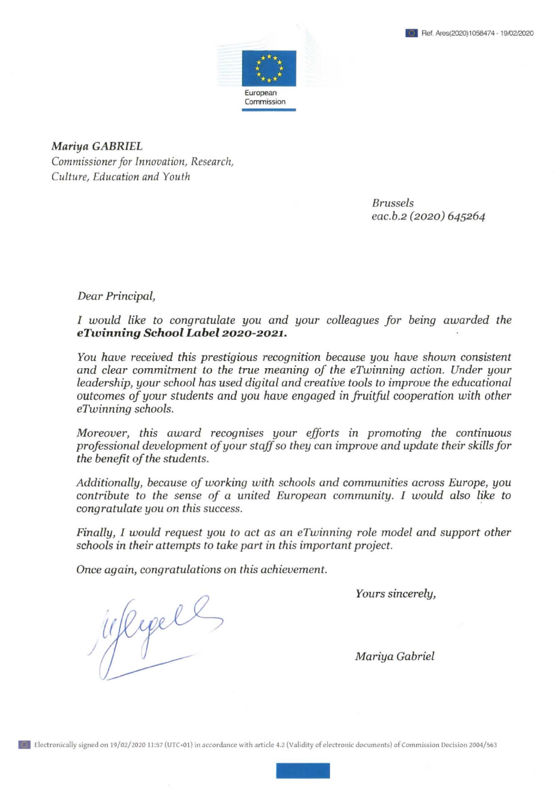

*Mariya GABRIEL Commissioner for Innovation, Research, Culture, Education and Youth* 

> *Brussels eac.b.2 (2020) 645264*

*Dear Principal,* 

*I* would like to congratulate you and your colleagues for being awarded the *eTwinning School Label2020-2021.* 

*You have received this prestigious recognition because you have shown consistent and clear commitment to the true meaning of the eTwinning action. Under your leadership, your school has used digital and creative tools to improve the educational outcomes of your students and you have engaged in fruitful cooperation with other eTwinning schools.* 

*Moreover, this award recognises your efforts in promoting the continuous professional development of your staff so they can improve and update their skills for the benefit of the students.* 

*Additionally, because of working with schools and communities across Europe, you contribute to the sense of a united European community.* I *would also like to congratulate you on this success.* ·

*Finally, I would request you to acl as an eTwinning role model and support other schools in their attempts to take part in this important project.* 

*Once again, congratulations on this achievement.* 

*Yours sincerely,* 

./ *Mariya Gabriel*